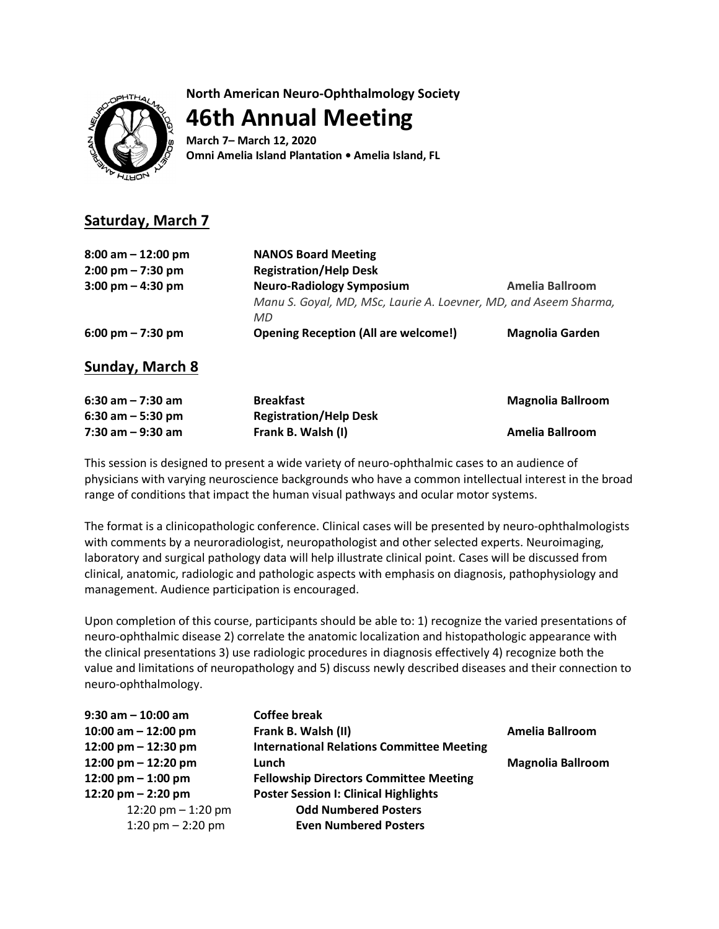**North American Neuro-Ophthalmology Society**

**46th Annual Meeting**

**March 7– March 12, 2020 Omni Amelia Island Plantation • Amelia Island, FL**

## **Saturday, March 7**

| <b>NANOS Board Meeting</b><br><b>Registration/Help Desk</b>      |                        |
|------------------------------------------------------------------|------------------------|
| <b>Neuro-Radiology Symposium</b>                                 | <b>Amelia Ballroom</b> |
| Manu S. Goyal, MD, MSc, Laurie A. Loevner, MD, and Aseem Sharma, |                        |
| MD.                                                              |                        |
| <b>Opening Reception (All are welcome!)</b>                      | <b>Magnolia Garden</b> |
|                                                                  |                        |

**Sunday, March 8**

| $6:30$ am $-7:30$ am | <b>Breakfast</b>              | <b>Magnolia Ballroom</b> |
|----------------------|-------------------------------|--------------------------|
| $6:30$ am $-5:30$ pm | <b>Registration/Help Desk</b> |                          |
| $7:30$ am $-9:30$ am | Frank B. Walsh (I)            | Amelia Ballroom          |

This session is designed to present a wide variety of neuro-ophthalmic cases to an audience of physicians with varying neuroscience backgrounds who have a common intellectual interest in the broad range of conditions that impact the human visual pathways and ocular motor systems.

The format is a clinicopathologic conference. Clinical cases will be presented by neuro-ophthalmologists with comments by a neuroradiologist, neuropathologist and other selected experts. Neuroimaging, laboratory and surgical pathology data will help illustrate clinical point. Cases will be discussed from clinical, anatomic, radiologic and pathologic aspects with emphasis on diagnosis, pathophysiology and management. Audience participation is encouraged.

Upon completion of this course, participants should be able to: 1) recognize the varied presentations of neuro-ophthalmic disease 2) correlate the anatomic localization and histopathologic appearance with the clinical presentations 3) use radiologic procedures in diagnosis effectively 4) recognize both the value and limitations of neuropathology and 5) discuss newly described diseases and their connection to neuro-ophthalmology.

| $9:30$ am $-10:00$ am | <b>Coffee break</b>                              |                          |
|-----------------------|--------------------------------------------------|--------------------------|
| 10:00 am $-$ 12:00 pm | Frank B. Walsh (II)                              | Amelia Ballroom          |
| 12:00 pm $-$ 12:30 pm | <b>International Relations Committee Meeting</b> |                          |
| 12:00 pm $-$ 12:20 pm | Lunch                                            | <b>Magnolia Ballroom</b> |
| 12:00 pm $-$ 1:00 pm  | <b>Fellowship Directors Committee Meeting</b>    |                          |
| 12:20 pm $-$ 2:20 pm  | <b>Poster Session I: Clinical Highlights</b>     |                          |
| 12:20 pm $-$ 1:20 pm  | <b>Odd Numbered Posters</b>                      |                          |
| 1:20 pm $-$ 2:20 pm   | <b>Even Numbered Posters</b>                     |                          |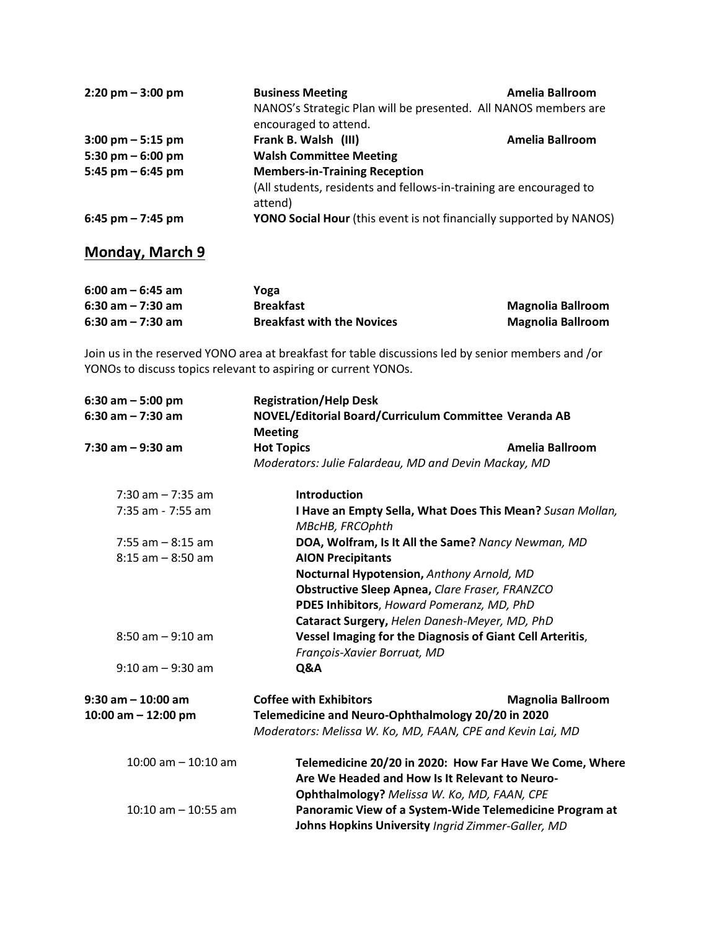| $2:20 \text{ pm} - 3:00 \text{ pm}$ | <b>Business Meeting</b><br>NANOS's Strategic Plan will be presented. All NANOS members are<br>encouraged to attend. | Amelia Ballroom |
|-------------------------------------|---------------------------------------------------------------------------------------------------------------------|-----------------|
| $3:00 \text{ pm} - 5:15 \text{ pm}$ | Frank B. Walsh (III)                                                                                                | Amelia Ballroom |
| 5:30 pm $-$ 6:00 pm                 | <b>Walsh Committee Meeting</b>                                                                                      |                 |
| 5:45 pm $-$ 6:45 pm                 | <b>Members-in-Training Reception</b>                                                                                |                 |
|                                     | (All students, residents and fellows-in-training are encouraged to<br>attend)                                       |                 |
| $6:45$ pm $- 7:45$ pm               | YONO Social Hour (this event is not financially supported by NANOS)                                                 |                 |

## **Monday, March 9**

| $6:00$ am $-6:45$ am | Yoga                              |                          |
|----------------------|-----------------------------------|--------------------------|
| $6:30$ am $-7:30$ am | <b>Breakfast</b>                  | <b>Magnolia Ballroom</b> |
| $6:30$ am $-7:30$ am | <b>Breakfast with the Novices</b> | <b>Magnolia Ballroom</b> |

Join us in the reserved YONO area at breakfast for table discussions led by senior members and /or YONOs to discuss topics relevant to aspiring or current YONOs.

| $6:30$ am $-5:00$ pm    | <b>Registration/Help Desk</b>                              |                                                           |
|-------------------------|------------------------------------------------------------|-----------------------------------------------------------|
| $6:30$ am $- 7:30$ am   | NOVEL/Editorial Board/Curriculum Committee Veranda AB      |                                                           |
|                         | <b>Meeting</b>                                             |                                                           |
| $7:30$ am $-9:30$ am    | <b>Hot Topics</b>                                          | Amelia Ballroom                                           |
|                         | Moderators: Julie Falardeau, MD and Devin Mackay, MD       |                                                           |
| $7:30$ am $-7:35$ am    | <b>Introduction</b>                                        |                                                           |
| 7:35 am - 7:55 am       | MBcHB, FRCOphth                                            | I Have an Empty Sella, What Does This Mean? Susan Mollan, |
| $7:55$ am $-8:15$ am    | DOA, Wolfram, Is It All the Same? Nancy Newman, MD         |                                                           |
| $8:15$ am $-8:50$ am    | <b>AION Precipitants</b>                                   |                                                           |
|                         | Nocturnal Hypotension, Anthony Arnold, MD                  |                                                           |
|                         | <b>Obstructive Sleep Apnea, Clare Fraser, FRANZCO</b>      |                                                           |
|                         | PDE5 Inhibitors, Howard Pomeranz, MD, PhD                  |                                                           |
|                         | Cataract Surgery, Helen Danesh-Meyer, MD, PhD              |                                                           |
| $8:50$ am $-9:10$ am    | Vessel Imaging for the Diagnosis of Giant Cell Arteritis,  |                                                           |
|                         | François-Xavier Borruat, MD                                |                                                           |
| $9:10$ am $-9:30$ am    | Q&A                                                        |                                                           |
| $9:30$ am $-10:00$ am   | <b>Coffee with Exhibitors</b>                              | <b>Magnolia Ballroom</b>                                  |
| 10:00 am $-$ 12:00 pm   | Telemedicine and Neuro-Ophthalmology 20/20 in 2020         |                                                           |
|                         | Moderators: Melissa W. Ko, MD, FAAN, CPE and Kevin Lai, MD |                                                           |
| $10:00$ am $- 10:10$ am |                                                            | Telemedicine 20/20 in 2020: How Far Have We Come, Where   |
|                         | Are We Headed and How Is It Relevant to Neuro-             |                                                           |
|                         | Ophthalmology? Melissa W. Ko, MD, FAAN, CPE                |                                                           |
| $10:10$ am $-10:55$ am  |                                                            | Panoramic View of a System-Wide Telemedicine Program at   |
|                         | Johns Hopkins University Ingrid Zimmer-Galler, MD          |                                                           |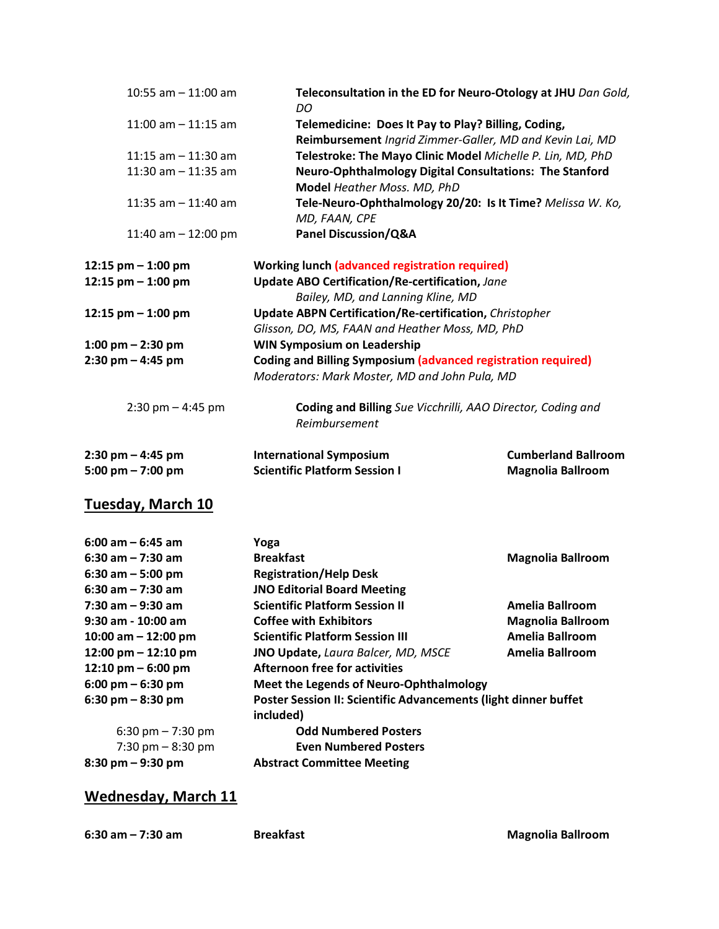| 10:55 am $-$ 11:00 am               | DO                                                                   | Teleconsultation in the ED for Neuro-Otology at JHU Dan Gold, |
|-------------------------------------|----------------------------------------------------------------------|---------------------------------------------------------------|
| $11:00$ am $-11:15$ am              | Telemedicine: Does It Pay to Play? Billing, Coding,                  | Reimbursement Ingrid Zimmer-Galler, MD and Kevin Lai, MD      |
| 11:15 am $-$ 11:30 am               |                                                                      | Telestroke: The Mayo Clinic Model Michelle P. Lin, MD, PhD    |
| 11:30 am $-$ 11:35 am               | <b>Neuro-Ophthalmology Digital Consultations: The Stanford</b>       |                                                               |
|                                     | Model Heather Moss. MD, PhD                                          |                                                               |
| 11:35 am $-$ 11:40 am               |                                                                      | Tele-Neuro-Ophthalmology 20/20: Is It Time? Melissa W. Ko,    |
|                                     | MD, FAAN, CPE                                                        |                                                               |
| 11:40 am $-$ 12:00 pm               | <b>Panel Discussion/Q&amp;A</b>                                      |                                                               |
| 12:15 pm $-$ 1:00 pm                | <b>Working lunch (advanced registration required)</b>                |                                                               |
| 12:15 pm - 1:00 pm                  | Update ABO Certification/Re-certification, Jane                      |                                                               |
|                                     | Bailey, MD, and Lanning Kline, MD                                    |                                                               |
| 12:15 pm - 1:00 pm                  | <b>Update ABPN Certification/Re-certification, Christopher</b>       |                                                               |
|                                     | Glisson, DO, MS, FAAN and Heather Moss, MD, PhD                      |                                                               |
| $1:00 \text{ pm} - 2:30 \text{ pm}$ | <b>WIN Symposium on Leadership</b>                                   |                                                               |
| 2:30 pm - 4:45 pm                   | <b>Coding and Billing Symposium (advanced registration required)</b> |                                                               |
|                                     | Moderators: Mark Moster, MD and John Pula, MD                        |                                                               |
| $2:30$ pm $-4:45$ pm                | Coding and Billing Sue Vicchrilli, AAO Director, Coding and          |                                                               |
|                                     | Reimbursement                                                        |                                                               |
| $2:30 \text{ pm} - 4:45 \text{ pm}$ | <b>International Symposium</b>                                       | <b>Cumberland Ballroom</b>                                    |
| 5:00 pm $-7:00$ pm                  | <b>Scientific Platform Session I</b>                                 | <b>Magnolia Ballroom</b>                                      |
| Tuesday, March 10                   |                                                                      |                                                               |
| 6:00 am – 6:45 am                   | Yoga                                                                 |                                                               |
| 6:30 am - 7:30 am                   | <b>Breakfast</b>                                                     | <b>Magnolia Ballroom</b>                                      |
| $6:30$ am $-5:00$ pm                | <b>Registration/Help Desk</b>                                        |                                                               |
| 6:30 am - 7:30 am                   | <b>JNO Editorial Board Meeting</b>                                   |                                                               |
| 7:30 am - 9:30 am                   | <b>Scientific Platform Session II</b>                                | <b>Amelia Ballroom</b>                                        |

**9:30 am - 10:00 am Coffee with Exhibitors Magnolia Ballroom 10:00 am – 12:00 pm Scientific Platform Session III Amelia Ballroom 12:00 pm – 12:10 pm JNO Update,** *Laura Balcer, MD, MSCE* **Amelia Ballroom 12:10 pm – 6:00 pm Afternoon free for activities**

**6:00 pm – 6:30 pm Meet the Legends of Neuro-Ophthalmology 6:30 pm – 8:30 pm Poster Session II: Scientific Advancements (light dinner buffet included)** 6:30 pm – 7:30 pm **Odd Numbered Posters** 7:30 pm – 8:30 pm **Even Numbered Posters 8:30 pm – 9:30 pm Abstract Committee Meeting**

## **Wednesday, March 11**

**6:30 am – 7:30 am Breakfast Magnolia Ballroom**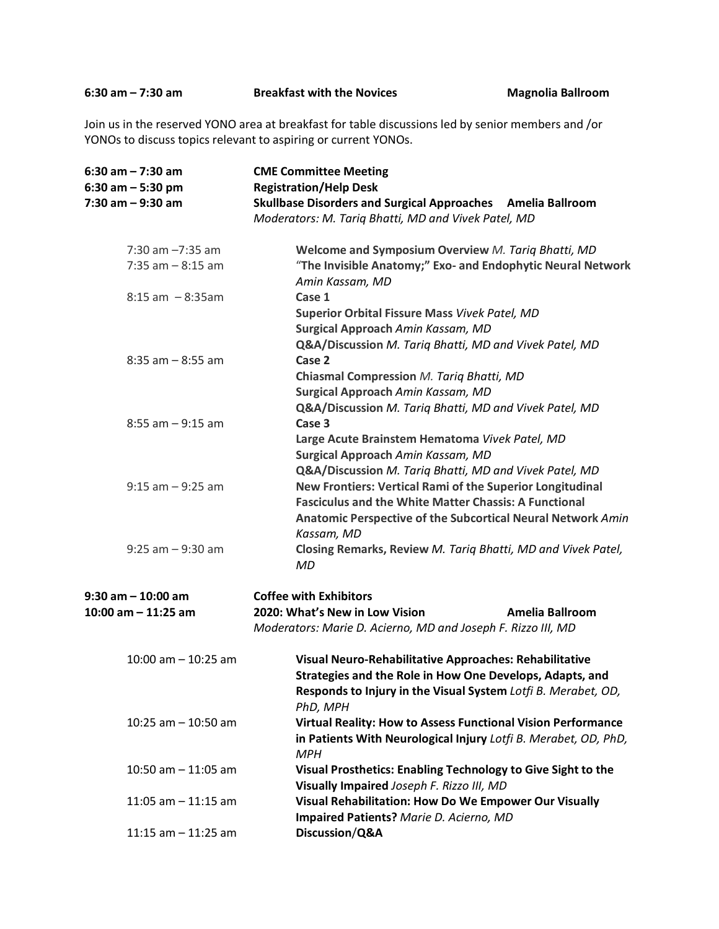**6:30 am – 7:30 am Breakfast with the Novices Magnolia Ballroom**

Join us in the reserved YONO area at breakfast for table discussions led by senior members and /or YONOs to discuss topics relevant to aspiring or current YONOs.

| $6:30$ am $- 7:30$ am                                 | <b>CME Committee Meeting</b>                                                                                       |  |
|-------------------------------------------------------|--------------------------------------------------------------------------------------------------------------------|--|
| $6:30$ am $-5:30$ pm<br><b>Registration/Help Desk</b> |                                                                                                                    |  |
| $7:30$ am $-9:30$ am                                  | Skullbase Disorders and Surgical Approaches Amelia Ballroom<br>Moderators: M. Tariq Bhatti, MD and Vivek Patel, MD |  |
| $7:30$ am $-7:35$ am                                  | Welcome and Symposium Overview M. Tariq Bhatti, MD                                                                 |  |
| $7:35$ am $-8:15$ am                                  | "The Invisible Anatomy;" Exo- and Endophytic Neural Network<br>Amin Kassam, MD                                     |  |
| $8:15$ am $-8:35$ am                                  | Case 1                                                                                                             |  |
|                                                       | Superior Orbital Fissure Mass Vivek Patel, MD                                                                      |  |
|                                                       | Surgical Approach Amin Kassam, MD                                                                                  |  |
|                                                       | Q&A/Discussion M. Tariq Bhatti, MD and Vivek Patel, MD                                                             |  |
| $8:35$ am $-8:55$ am                                  | Case 2                                                                                                             |  |
|                                                       | Chiasmal Compression M. Tariq Bhatti, MD                                                                           |  |
|                                                       | Surgical Approach Amin Kassam, MD                                                                                  |  |
|                                                       | Q&A/Discussion M. Tariq Bhatti, MD and Vivek Patel, MD                                                             |  |
| $8:55$ am $-9:15$ am                                  | Case 3<br>Large Acute Brainstem Hematoma Vivek Patel, MD                                                           |  |
|                                                       | Surgical Approach Amin Kassam, MD                                                                                  |  |
|                                                       | Q&A/Discussion M. Tariq Bhatti, MD and Vivek Patel, MD                                                             |  |
| $9:15$ am $-9:25$ am                                  | New Frontiers: Vertical Rami of the Superior Longitudinal                                                          |  |
|                                                       | <b>Fasciculus and the White Matter Chassis: A Functional</b>                                                       |  |
|                                                       | Anatomic Perspective of the Subcortical Neural Network Amin                                                        |  |
|                                                       | Kassam, MD                                                                                                         |  |
| $9:25$ am $-9:30$ am                                  | Closing Remarks, Review M. Tariq Bhatti, MD and Vivek Patel,<br><b>MD</b>                                          |  |
| $9:30$ am $-10:00$ am                                 | <b>Coffee with Exhibitors</b>                                                                                      |  |
| 10:00 am $-$ 11:25 am                                 | 2020: What's New in Low Vision<br>Amelia Ballroom                                                                  |  |
|                                                       | Moderators: Marie D. Acierno, MD and Joseph F. Rizzo III, MD                                                       |  |
|                                                       |                                                                                                                    |  |
| $10:00$ am $- 10:25$ am                               | Visual Neuro-Rehabilitative Approaches: Rehabilitative<br>Strategies and the Role in How One Develops, Adapts, and |  |
|                                                       | Responds to Injury in the Visual System Lotfi B. Merabet, OD,                                                      |  |
|                                                       | PhD, MPH                                                                                                           |  |
| 10:25 am $-$ 10:50 am                                 | <b>Virtual Reality: How to Assess Functional Vision Performance</b>                                                |  |
|                                                       | in Patients With Neurological Injury Lotfi B. Merabet, OD, PhD,                                                    |  |
|                                                       | <b>MPH</b>                                                                                                         |  |
| 10:50 am $-$ 11:05 am                                 | Visual Prosthetics: Enabling Technology to Give Sight to the                                                       |  |
|                                                       | Visually Impaired Joseph F. Rizzo III, MD                                                                          |  |
| 11:05 am $-$ 11:15 am                                 | <b>Visual Rehabilitation: How Do We Empower Our Visually</b>                                                       |  |
|                                                       | Impaired Patients? Marie D. Acierno, MD                                                                            |  |
| 11:15 am $-$ 11:25 am                                 | Discussion/Q&A                                                                                                     |  |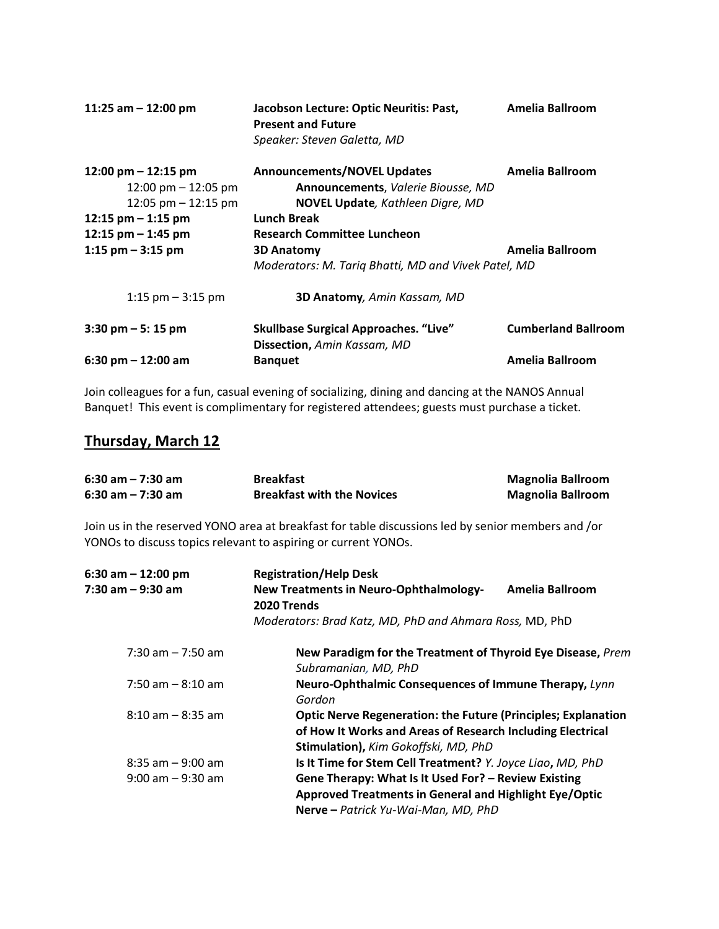| 11:25 am $-$ 12:00 pm                                                                           | Jacobson Lecture: Optic Neuritis: Past,<br><b>Present and Future</b><br>Speaker: Steven Galetta, MD                                                               | <b>Amelia Ballroom</b>     |
|-------------------------------------------------------------------------------------------------|-------------------------------------------------------------------------------------------------------------------------------------------------------------------|----------------------------|
| 12:00 pm $-$ 12:15 pm<br>12:00 pm $-$ 12:05 pm<br>12:05 pm $-$ 12:15 pm<br>12:15 pm $-$ 1:15 pm | <b>Announcements/NOVEL Updates</b><br>Announcements, Valerie Biousse, MD<br>NOVEL Update, Kathleen Digre, MD<br>Lunch Break<br><b>Research Committee Luncheon</b> | Amelia Ballroom            |
| 12:15 pm $-$ 1:45 pm<br>1:15 $pm - 3:15$ pm                                                     | <b>3D Anatomy</b><br>Moderators: M. Tariq Bhatti, MD and Vivek Patel, MD                                                                                          | Amelia Ballroom            |
| 1:15 $pm - 3:15$ pm                                                                             | <b>3D Anatomy</b> , Amin Kassam, MD                                                                                                                               |                            |
| $3:30$ pm $-5:15$ pm                                                                            | <b>Skullbase Surgical Approaches. "Live"</b><br>Dissection, Amin Kassam, MD                                                                                       | <b>Cumberland Ballroom</b> |
| 6:30 pm $-$ 12:00 am                                                                            | <b>Banguet</b>                                                                                                                                                    | Amelia Ballroom            |

Join colleagues for a fun, casual evening of socializing, dining and dancing at the NANOS Annual Banquet! This event is complimentary for registered attendees; guests must purchase a ticket.

## **Thursday, March 12**

| $6:30$ am $-7:30$ am<br>$6:30$ am $-7:30$ am                   | <b>Breakfast</b><br><b>Breakfast with the Novices</b>                                                                                                                      | <b>Magnolia Ballroom</b><br><b>Magnolia Ballroom</b> |
|----------------------------------------------------------------|----------------------------------------------------------------------------------------------------------------------------------------------------------------------------|------------------------------------------------------|
| YONOs to discuss topics relevant to aspiring or current YONOs. | Join us in the reserved YONO area at breakfast for table discussions led by senior members and /or                                                                         |                                                      |
| $6:30$ am $-12:00$ pm                                          | <b>Registration/Help Desk</b>                                                                                                                                              |                                                      |
| $7:30$ am $-9:30$ am                                           | <b>New Treatments in Neuro-Ophthalmology-</b><br>2020 Trends                                                                                                               | <b>Amelia Ballroom</b>                               |
|                                                                | Moderators: Brad Katz, MD, PhD and Ahmara Ross, MD, PhD                                                                                                                    |                                                      |
| $7:30$ am $-7:50$ am                                           | New Paradigm for the Treatment of Thyroid Eye Disease, Prem<br>Subramanian, MD, PhD                                                                                        |                                                      |
| $7:50$ am $-8:10$ am                                           | Neuro-Ophthalmic Consequences of Immune Therapy, Lynn<br>Gordon                                                                                                            |                                                      |
| $8:10$ am $-8:35$ am                                           | <b>Optic Nerve Regeneration: the Future (Principles; Explanation</b><br>of How It Works and Areas of Research Including Electrical<br>Stimulation), Kim Gokoffski, MD, PhD |                                                      |
| $8:35$ am $-9:00$ am                                           | Is It Time for Stem Cell Treatment? Y. Joyce Liao, MD, PhD                                                                                                                 |                                                      |
| $9:00$ am $-9:30$ am                                           | Gene Therapy: What Is It Used For? - Review Existing<br><b>Approved Treatments in General and Highlight Eye/Optic</b><br>Nerve - Patrick Yu-Wai-Man, MD, PhD               |                                                      |